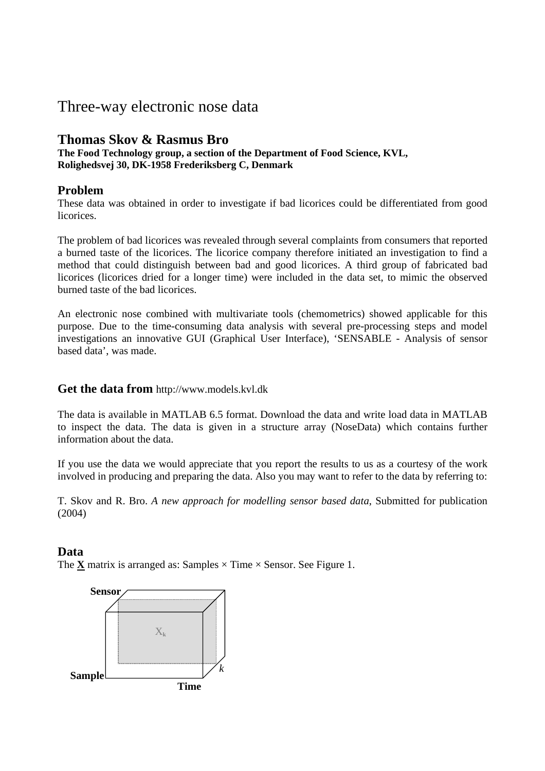# Three-way electronic nose data

# **Thomas Skov & Rasmus Bro**

**The Food Technology group, a section of the Department of Food Science, KVL, Rolighedsvej 30, DK-1958 Frederiksberg C, Denmark**

## **Problem**

These data was obtained in order to investigate if bad licorices could be differentiated from good licorices.

The problem of bad licorices was revealed through several complaints from consumers that reported a burned taste of the licorices. The licorice company therefore initiated an investigation to find a method that could distinguish between bad and good licorices. A third group of fabricated bad licorices (licorices dried for a longer time) were included in the data set, to mimic the observed burned taste of the bad licorices.

An electronic nose combined with multivariate tools (chemometrics) showed applicable for this purpose. Due to the time-consuming data analysis with several pre-processing steps and model investigations an innovative GUI (Graphical User Interface), 'SENSABLE - Analysis of sensor based data', was made.

### **Get the data from** http://www.models.kvl.dk

The data is available in MATLAB 6.5 format. Download the data and write load data in MATLAB to inspect the data. The data is given in a structure array (NoseData) which contains further information about the data.

If you use the data we would appreciate that you report the results to us as a courtesy of the work involved in producing and preparing the data. Also you may want to refer to the data by referring to:

T. Skov and R. Bro. *A new approach for modelling sensor based data*, Submitted for publication (2004)

### **Data**

The  $\underline{\mathbf{X}}$  matrix is arranged as: Samples  $\times$  Time  $\times$  Sensor. See Figure 1.